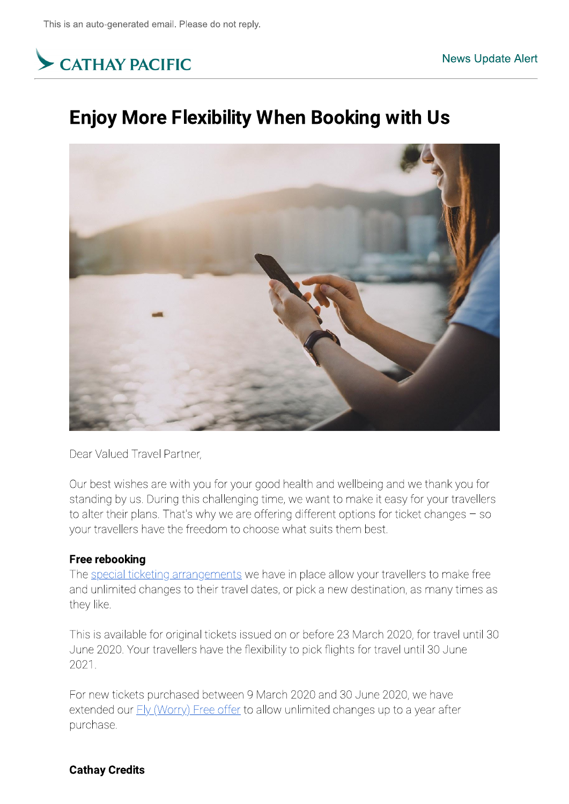

Dear Valued Travel Partner,

Our best wishes are with you for your good health and wellbeing and we thank you for standing by us. During this challenging time, we want to make it easy for your travellers to alter their plans. That's why we are offering different options for ticket changes  $-$  so your travellers have the freedom to choose what suits them best.

# **Free rebooking**

The special ticketing arrangements we have in place allow your travellers to make free and unlimited changes to their travel dates, or pick a new destination, as many times as they like.

This is available for original tickets issued on or before 23 March 2020, for travel until 30  $^\circ$ June 2020. Your travellers have the flexibility to pick flights for travel until 30 June  $2021$ 

For new tickets purchased between 9 March 2020 and 30 June 2020, we have extended our **FIy (Worry)** Free offer to allow unlimited changes up to a year after purchase. 2021.<br>For new tickets purchased between 9<br>extended our <u>Fly (Worry) Free offer</u> to<br>purchase.<br>**Cathay Credits**